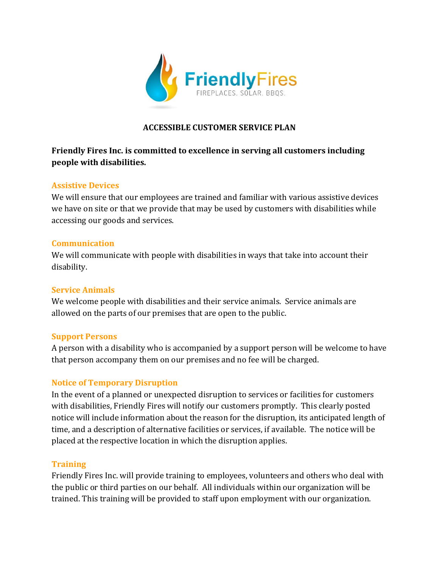

### **ACCESSIBLE CUSTOMER SERVICE PLAN**

### **Friendly Fires Inc. is committed to excellence in serving all customers including people with disabilities.**

### **Assistive Devices**

We will ensure that our employees are trained and familiar with various assistive devices we have on site or that we provide that may be used by customers with disabilities while accessing our goods and services.

#### **Communication**

We will communicate with people with disabilities in ways that take into account their disability.

#### **Service Animals**

We welcome people with disabilities and their service animals. Service animals are allowed on the parts of our premises that are open to the public.

#### **Support Persons**

A person with a disability who is accompanied by a support person will be welcome to have that person accompany them on our premises and no fee will be charged.

#### **Notice of Temporary Disruption**

In the event of a planned or unexpected disruption to services or facilities for customers with disabilities, Friendly Fires will notify our customers promptly. This clearly posted notice will include information about the reason for the disruption, its anticipated length of time, and a description of alternative facilities or services, if available. The notice will be placed at the respective location in which the disruption applies.

#### **Training**

Friendly Fires Inc. will provide training to employees, volunteers and others who deal with the public or third parties on our behalf. All individuals within our organization will be trained. This training will be provided to staff upon employment with our organization.